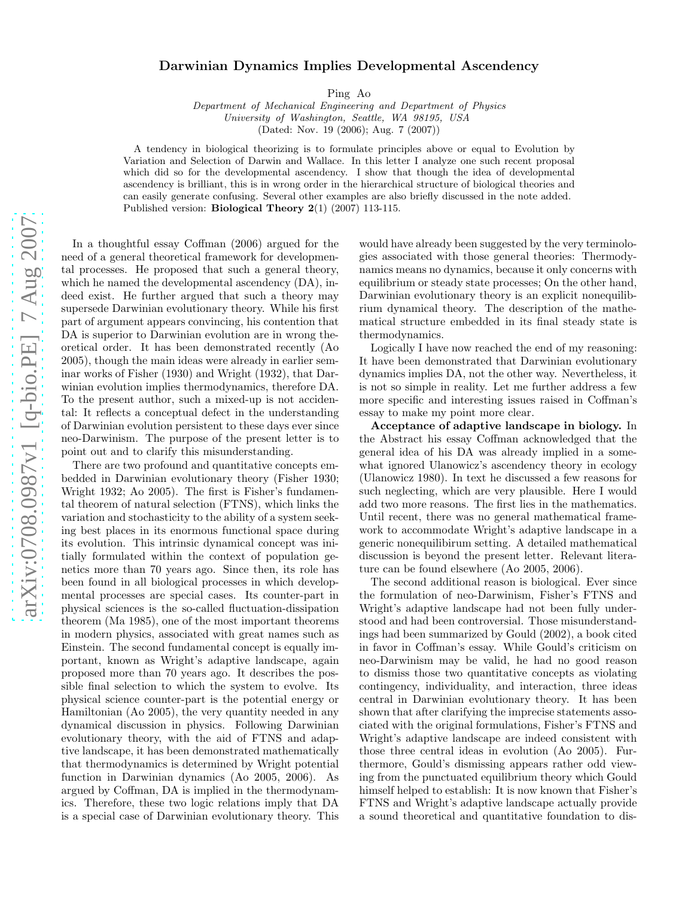## arXiv:0708.0987v1 [q-bio.PE] 7 Aug 2007 [arXiv:0708.0987v1 \[q-bio.PE\] 7 Aug 2007](http://arxiv.org/abs/0708.0987v1)

## Darwinian Dynamics Implies Developmental Ascendency

Ping Ao

Department of Mechanical Engineering and Department of Physics University of Washington, Seattle, WA 98195, USA (Dated: Nov. 19 (2006); Aug. 7 (2007))

A tendency in biological theorizing is to formulate principles above or equal to Evolution by Variation and Selection of Darwin and Wallace. In this letter I analyze one such recent proposal which did so for the developmental ascendency. I show that though the idea of developmental ascendency is brilliant, this is in wrong order in the hierarchical structure of biological theories and can easily generate confusing. Several other examples are also briefly discussed in the note added. Published version: Biological Theory 2(1) (2007) 113-115.

In a thoughtful essay Coffman (2006) argued for the need of a general theoretical framework for developmental processes. He proposed that such a general theory, which he named the developmental ascendency (DA), indeed exist. He further argued that such a theory may supersede Darwinian evolutionary theory. While his first part of argument appears convincing, his contention that DA is superior to Darwinian evolution are in wrong theoretical order. It has been demonstrated recently (Ao 2005), though the main ideas were already in earlier seminar works of Fisher (1930) and Wright (1932), that Darwinian evolution implies thermodynamics, therefore DA. To the present author, such a mixed-up is not accidental: It reflects a conceptual defect in the understanding of Darwinian evolution persistent to these days ever since neo-Darwinism. The purpose of the present letter is to point out and to clarify this misunderstanding.

There are two profound and quantitative concepts embedded in Darwinian evolutionary theory (Fisher 1930; Wright 1932; Ao 2005). The first is Fisher's fundamental theorem of natural selection (FTNS), which links the variation and stochasticity to the ability of a system seeking best places in its enormous functional space during its evolution. This intrinsic dynamical concept was initially formulated within the context of population genetics more than 70 years ago. Since then, its role has been found in all biological processes in which developmental processes are special cases. Its counter-part in physical sciences is the so-called fluctuation-dissipation theorem (Ma 1985), one of the most important theorems in modern physics, associated with great names such as Einstein. The second fundamental concept is equally important, known as Wright's adaptive landscape, again proposed more than 70 years ago. It describes the possible final selection to which the system to evolve. Its physical science counter-part is the potential energy or Hamiltonian (Ao 2005), the very quantity needed in any dynamical discussion in physics. Following Darwinian evolutionary theory, with the aid of FTNS and adaptive landscape, it has been demonstrated mathematically that thermodynamics is determined by Wright potential function in Darwinian dynamics (Ao 2005, 2006). As argued by Coffman, DA is implied in the thermodynamics. Therefore, these two logic relations imply that DA is a special case of Darwinian evolutionary theory. This

would have already been suggested by the very terminologies associated with those general theories: Thermodynamics means no dynamics, because it only concerns with equilibrium or steady state processes; On the other hand, Darwinian evolutionary theory is an explicit nonequilibrium dynamical theory. The description of the mathematical structure embedded in its final steady state is thermodynamics.

Logically I have now reached the end of my reasoning: It have been demonstrated that Darwinian evolutionary dynamics implies DA, not the other way. Nevertheless, it is not so simple in reality. Let me further address a few more specific and interesting issues raised in Coffman's essay to make my point more clear.

Acceptance of adaptive landscape in biology. In the Abstract his essay Coffman acknowledged that the general idea of his DA was already implied in a somewhat ignored Ulanowicz's ascendency theory in ecology (Ulanowicz 1980). In text he discussed a few reasons for such neglecting, which are very plausible. Here I would add two more reasons. The first lies in the mathematics. Until recent, there was no general mathematical framework to accommodate Wright's adaptive landscape in a generic nonequilibirum setting. A detailed mathematical discussion is beyond the present letter. Relevant literature can be found elsewhere (Ao 2005, 2006).

The second additional reason is biological. Ever since the formulation of neo-Darwinism, Fisher's FTNS and Wright's adaptive landscape had not been fully understood and had been controversial. Those misunderstandings had been summarized by Gould (2002), a book cited in favor in Coffman's essay. While Gould's criticism on neo-Darwinism may be valid, he had no good reason to dismiss those two quantitative concepts as violating contingency, individuality, and interaction, three ideas central in Darwinian evolutionary theory. It has been shown that after clarifying the imprecise statements associated with the original formulations, Fisher's FTNS and Wright's adaptive landscape are indeed consistent with those three central ideas in evolution (Ao 2005). Furthermore, Gould's dismissing appears rather odd viewing from the punctuated equilibrium theory which Gould himself helped to establish: It is now known that Fisher's FTNS and Wright's adaptive landscape actually provide a sound theoretical and quantitative foundation to dis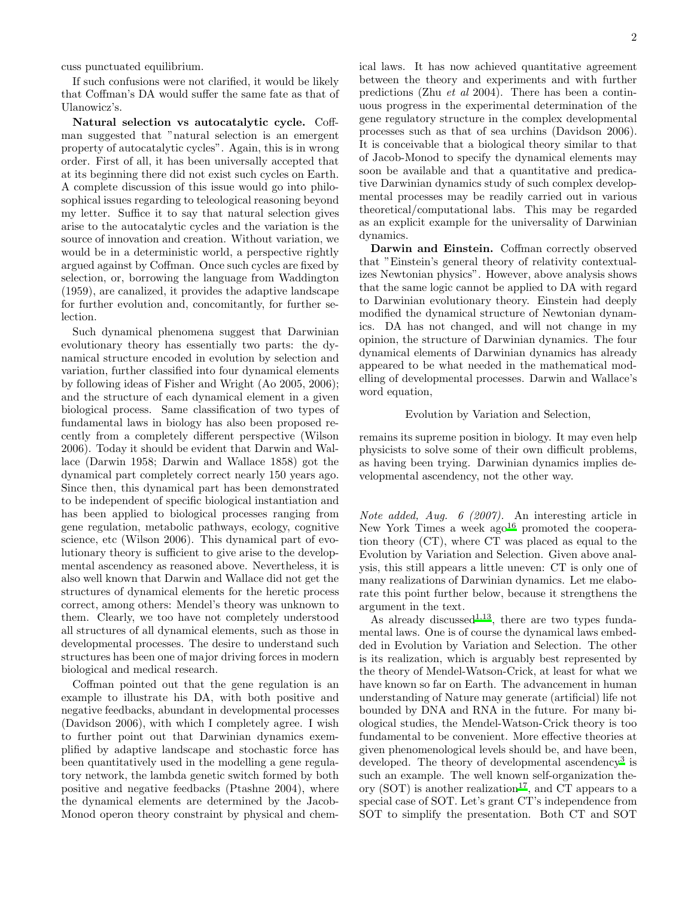cuss punctuated equilibrium.

If such confusions were not clarified, it would be likely that Coffman's DA would suffer the same fate as that of Ulanowicz's.

Natural selection vs autocatalytic cycle. Coffman suggested that "natural selection is an emergent property of autocatalytic cycles". Again, this is in wrong order. First of all, it has been universally accepted that at its beginning there did not exist such cycles on Earth. A complete discussion of this issue would go into philosophical issues regarding to teleological reasoning beyond my letter. Suffice it to say that natural selection gives arise to the autocatalytic cycles and the variation is the source of innovation and creation. Without variation, we would be in a deterministic world, a perspective rightly argued against by Coffman. Once such cycles are fixed by selection, or, borrowing the language from Waddington (1959), are canalized, it provides the adaptive landscape for further evolution and, concomitantly, for further selection.

Such dynamical phenomena suggest that Darwinian evolutionary theory has essentially two parts: the dynamical structure encoded in evolution by selection and variation, further classified into four dynamical elements by following ideas of Fisher and Wright (Ao 2005, 2006); and the structure of each dynamical element in a given biological process. Same classification of two types of fundamental laws in biology has also been proposed recently from a completely different perspective (Wilson 2006). Today it should be evident that Darwin and Wallace (Darwin 1958; Darwin and Wallace 1858) got the dynamical part completely correct nearly 150 years ago. Since then, this dynamical part has been demonstrated to be independent of specific biological instantiation and has been applied to biological processes ranging from gene regulation, metabolic pathways, ecology, cognitive science, etc (Wilson 2006). This dynamical part of evolutionary theory is sufficient to give arise to the developmental ascendency as reasoned above. Nevertheless, it is also well known that Darwin and Wallace did not get the structures of dynamical elements for the heretic process correct, among others: Mendel's theory was unknown to them. Clearly, we too have not completely understood all structures of all dynamical elements, such as those in developmental processes. The desire to understand such structures has been one of major driving forces in modern biological and medical research.

Coffman pointed out that the gene regulation is an example to illustrate his DA, with both positive and negative feedbacks, abundant in developmental processes (Davidson 2006), with which I completely agree. I wish to further point out that Darwinian dynamics exemplified by adaptive landscape and stochastic force has been quantitatively used in the modelling a gene regulatory network, the lambda genetic switch formed by both positive and negative feedbacks (Ptashne 2004), where the dynamical elements are determined by the Jacob-Monod operon theory constraint by physical and chemical laws. It has now achieved quantitative agreement between the theory and experiments and with further predictions (Zhu et al 2004). There has been a continuous progress in the experimental determination of the gene regulatory structure in the complex developmental processes such as that of sea urchins (Davidson 2006). It is conceivable that a biological theory similar to that of Jacob-Monod to specify the dynamical elements may soon be available and that a quantitative and predicative Darwinian dynamics study of such complex developmental processes may be readily carried out in various theoretical/computational labs. This may be regarded as an explicit example for the universality of Darwinian dynamics.

Darwin and Einstein. Coffman correctly observed that "Einstein's general theory of relativity contextualizes Newtonian physics". However, above analysis shows that the same logic cannot be applied to DA with regard to Darwinian evolutionary theory. Einstein had deeply modified the dynamical structure of Newtonian dynamics. DA has not changed, and will not change in my opinion, the structure of Darwinian dynamics. The four dynamical elements of Darwinian dynamics has already appeared to be what needed in the mathematical modelling of developmental processes. Darwin and Wallace's word equation,

## Evolution by Variation and Selection,

remains its supreme position in biology. It may even help physicists to solve some of their own difficult problems, as having been trying. Darwinian dynamics implies developmental ascendency, not the other way.

Note added, Aug. 6 (2007). An interesting article in New York Times a week  $ago^{16}$  $ago^{16}$  $ago^{16}$  promoted the cooperation theory (CT), where CT was placed as equal to the Evolution by Variation and Selection. Given above analysis, this still appears a little uneven: CT is only one of many realizations of Darwinian dynamics. Let me elaborate this point further below, because it strengthens the argument in the text.

As already discussed<sup>[1](#page-2-1)[,13](#page-2-2)</sup>, there are two types fundamental laws. One is of course the dynamical laws embedded in Evolution by Variation and Selection. The other is its realization, which is arguably best represented by the theory of Mendel-Watson-Crick, at least for what we have known so far on Earth. The advancement in human understanding of Nature may generate (artificial) life not bounded by DNA and RNA in the future. For many biological studies, the Mendel-Watson-Crick theory is too fundamental to be convenient. More effective theories at given phenomenological levels should be, and have been, developed. The theory of developmental ascendency<sup>[3](#page-2-3)</sup> is such an example. The well known self-organization theory  $(SOT)$  is another realization<sup>[17](#page-2-4)</sup>, and  $CT$  appears to a special case of SOT. Let's grant CT's independence from SOT to simplify the presentation. Both CT and SOT